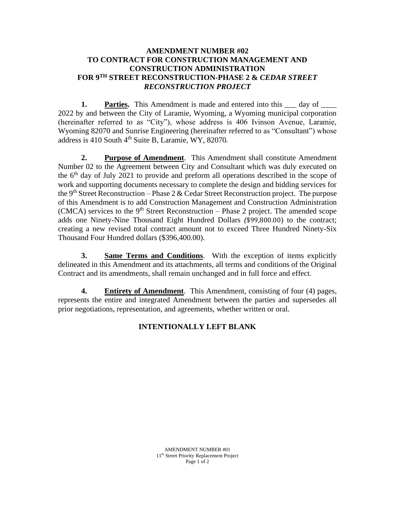## **AMENDMENT NUMBER #02 TO CONTRACT FOR CONSTRUCTION MANAGEMENT AND CONSTRUCTION ADMINISTRATION FOR 9 TH STREET RECONSTRUCTION-PHASE 2 &** *CEDAR STREET RECONSTRUCTION PROJECT*

**1. Parties.** This Amendment is made and entered into this  $\_\_$  day of  $\_\_$ 2022 by and between the City of Laramie, Wyoming, a Wyoming municipal corporation (hereinafter referred to as "City"), whose address is 406 Ivinson Avenue, Laramie, Wyoming 82070 and Sunrise Engineering (hereinafter referred to as "Consultant") whose address is  $410$  South  $4<sup>th</sup>$  Suite B, Laramie, WY, 82070.

**2. Purpose of Amendment**. This Amendment shall constitute Amendment Number 02 to the Agreement between City and Consultant which was duly executed on the 6<sup>th</sup> day of July 2021 to provide and preform all operations described in the scope of work and supporting documents necessary to complete the design and bidding services for the 9<sup>th</sup> Street Reconstruction – Phase 2 & Cedar Street Reconstruction project. The purpose of this Amendment is to add Construction Management and Construction Administration (CMCA) services to the  $9<sup>th</sup>$  Street Reconstruction – Phase 2 project. The amended scope adds one Ninety-Nine Thousand Eight Hundred Dollars *(*\$99,800.00) to the contract; creating a new revised total contract amount not to exceed Three Hundred Ninety-Six Thousand Four Hundred dollars (\$396,400.00).

**3. Same Terms and Conditions**. With the exception of items explicitly delineated in this Amendment and its attachments, all terms and conditions of the Original Contract and its amendments, shall remain unchanged and in full force and effect.

**4. Entirety of Amendment**. This Amendment, consisting of four (4) pages, represents the entire and integrated Amendment between the parties and supersedes all prior negotiations, representation, and agreements, whether written or oral.

# **INTENTIONALLY LEFT BLANK**

AMENDMENT NUMBER #01 11th Street Priority Replacement Project Page 1 of 2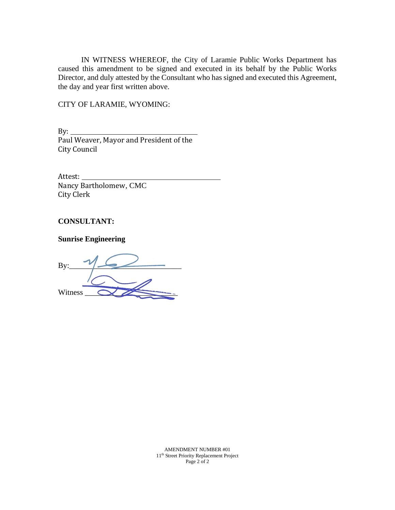IN WITNESS WHEREOF, the City of Laramie Public Works Department has caused this amendment to be signed and executed in its behalf by the Public Works Director, and duly attested by the Consultant who has signed and executed this Agreement, the day and year first written above.

CITY OF LARAMIE, WYOMING:

By: Paul Weaver, Mayor and President of the City Council

Attest: Nancy Bartholomew, CMC City Clerk

### **CONSULTANT:**

**Sunrise Engineering**

By:\_\_\_\_\_\_\_\_\_\_\_\_\_\_\_\_\_\_\_\_\_\_\_\_\_\_\_\_\_ Witness \_\_\_\_\_\_\_\_\_\_\_\_\_\_\_\_\_\_\_\_\_\_\_\_

AMENDMENT NUMBER #01 11th Street Priority Replacement Project Page 2 of 2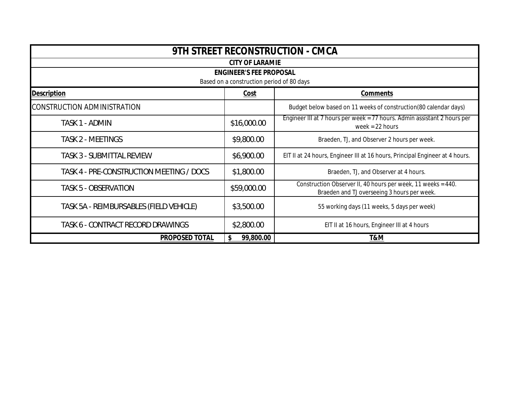| 9TH STREET RECONSTRUCTION - CMCA          |             |                                                                                                             |  |  |  |  |  |
|-------------------------------------------|-------------|-------------------------------------------------------------------------------------------------------------|--|--|--|--|--|
| <b>CITY OF LARAMIE</b>                    |             |                                                                                                             |  |  |  |  |  |
| <b>ENGINEER'S FEE PROPOSAL</b>            |             |                                                                                                             |  |  |  |  |  |
| Based on a construction period of 80 days |             |                                                                                                             |  |  |  |  |  |
| <b>Description</b>                        | Cost        | <b>Comments</b>                                                                                             |  |  |  |  |  |
| <b>CONSTRUCTION ADMINISTRATION</b>        |             | Budget below based on 11 weeks of construction(80 calendar days)                                            |  |  |  |  |  |
| TASK 1 - ADMIN                            | \$16,000.00 | Engineer III at 7 hours per week = 77 hours. Admin assistant 2 hours per<br>week = $22$ hours               |  |  |  |  |  |
| <b>TASK 2 - MEETINGS</b>                  | \$9,800.00  | Braeden, TJ, and Observer 2 hours per week.                                                                 |  |  |  |  |  |
| <b>TASK 3 - SUBMITTAL REVIEW</b>          | \$6,900.00  | EIT II at 24 hours, Engineer III at 16 hours, Principal Engineer at 4 hours.                                |  |  |  |  |  |
| TASK 4 - PRE-CONSTRUCTION MEETING / DOCS  | \$1,800.00  | Braeden, TJ, and Observer at 4 hours.                                                                       |  |  |  |  |  |
| <b>TASK 5 - OBSERVATION</b>               | \$59,000.00 | Construction Observer II, 40 hours per week, 11 weeks = 440.<br>Braeden and TJ overseeing 3 hours per week. |  |  |  |  |  |
| TASK 5A - REIMBURSABLES (FIELD VEHICLE)   | \$3,500.00  | 55 working days (11 weeks, 5 days per week)                                                                 |  |  |  |  |  |
| TASK 6 - CONTRACT RECORD DRAWINGS         | \$2,800.00  | EIT II at 16 hours, Engineer III at 4 hours                                                                 |  |  |  |  |  |
| PROPOSED TOTAL<br>99,800.00               |             | T&M                                                                                                         |  |  |  |  |  |